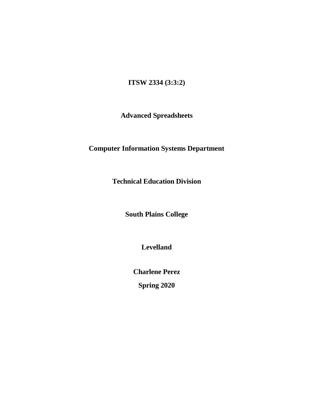# **ITSW 2334 (3:3:2)**

# **Advanced Spreadsheets**

# **Computer Information Systems Department**

**Technical Education Division**

**South Plains College**

**Levelland**

**Charlene Perez**

**Spring 2020**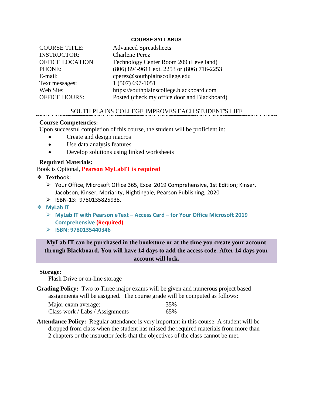#### **COURSE SYLLABUS**

| <b>COURSE TITLE:</b>   | <b>Advanced Spreadsheets</b>                 |
|------------------------|----------------------------------------------|
| <b>INSTRUCTOR:</b>     | <b>Charlene Perez</b>                        |
| <b>OFFICE LOCATION</b> | Technology Center Room 209 (Levelland)       |
| <b>PHONE:</b>          | (806) 894-9611 ext. 2253 or (806) 716-2253   |
| E-mail:                | cperez@southplainscollege.edu                |
| Text messages:         | 1 (507) 697-1051                             |
| Web Site:              | https://southplainscollege.blackboard.com    |
| <b>OFFICE HOURS:</b>   | Posted (check my office door and Blackboard) |

# SOUTH PLAINS COLLEGE IMPROVES EACH STUDENT'S LIFE

#### **Course Competencies:**

Upon successful completion of this course, the student will be proficient in:

- Create and design macros
- Use data analysis features
- Develop solutions using linked worksheets

# **Required Materials:**

Book is Optional, **Pearson MyLabIT is required**

- Textbook:
	- Your Office, Microsoft Office 365, Excel 2019 Comprehensive, 1st Edition; Kinser, Jacobson, Kinser, Moriarity, Nightingale; Pearson Publishing, 2020
	- ISBN-13: 9780135825938.
- **MyLab IT**
	- **MyLab IT with Pearson eText – Access Card – for Your Office Microsoft 2019 Comprehensive (Required)**
	- **ISBN: 9780135440346**

# **MyLab IT can be purchased in the bookstore or at the time you create your account through Blackboard. You will have 14 days to add the access code. After 14 days your account will lock.**

#### **Storage:**

Flash Drive or on-line storage

**Grading Policy:** Two to Three major exams will be given and numerous project based assignments will be assigned. The course grade will be computed as follows:

| Major exam average:             | 35% |
|---------------------------------|-----|
| Class work / Labs / Assignments | 65% |

**Attendance Policy:** Regular attendance is very important in this course. A student will be dropped from class when the student has missed the required materials from more than 2 chapters or the instructor feels that the objectives of the class cannot be met.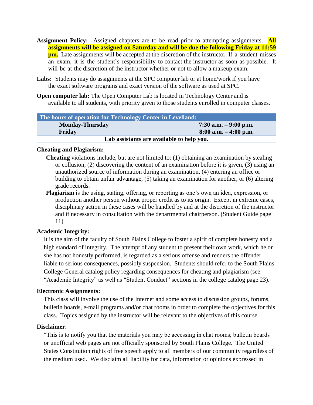- **Assignment Policy:** Assigned chapters are to be read prior to attempting assignments. **All assignments will be assigned on Saturday and will be due the following Friday at 11:59 pm.** Late assignments will be accepted at the discretion of the instructor. If a student misses an exam, it is the student's responsibility to contact the instructor as soon as possible. It will be at the discretion of the instructor whether or not to allow a makeup exam.
- Labs: Students may do assignments at the SPC computer lab or at home/work if you have the exact software programs and exact version of the software as used at SPC.
- **Open computer lab:** The Open Computer Lab is located in Technology Center and is available to all students, with priority given to those students enrolled in computer classes.

| The hours of operation for Technology Center in Levelland: |                          |  |
|------------------------------------------------------------|--------------------------|--|
| <b>Monday-Thursday</b>                                     | 7:30 a.m. $-9:00$ p.m.   |  |
| Friday                                                     | $8:00$ a.m. $-4:00$ p.m. |  |
| Lab assistants are available to help you.                  |                          |  |

# **Cheating and Plagiarism:**

- **Cheating** violations include, but are not limited to: (1) obtaining an examination by stealing or collusion, (2) discovering the content of an examination before it is given, (3) using an unauthorized source of information during an examination, (4) entering an office or building to obtain unfair advantage, (5) taking an examination for another, or (6) altering grade records.
- **Plagiarism** is the using, stating, offering, or reporting as one's own an idea, expression, or production another person without proper credit as to its origin. Except in extreme cases, disciplinary action in these cases will be handled by and at the discretion of the instructor and if necessary in consultation with the departmental chairperson. (Student Guide page 11)

# **Academic Integrity:**

It is the aim of the faculty of South Plains College to foster a spirit of complete honesty and a high standard of integrity. The attempt of any student to present their own work, which he or she has not honestly performed, is regarded as a serious offense and renders the offender liable to serious consequences, possibly suspension. Students should refer to the South Plains College General catalog policy regarding consequences for cheating and plagiarism (see "Academic Integrity" as well as "Student Conduct" sections in the college catalog page 23).

#### **Electronic Assignments:**

This class will involve the use of the Internet and some access to discussion groups, forums, bulletin boards, e-mail programs and/or chat rooms in order to complete the objectives for this class. Topics assigned by the instructor will be relevant to the objectives of this course.

# **Disclaimer**:

"This is to notify you that the materials you may be accessing in chat rooms, bulletin boards or unofficial web pages are not officially sponsored by South Plains College. The United States Constitution rights of free speech apply to all members of our community regardless of the medium used. We disclaim all liability for data, information or opinions expressed in